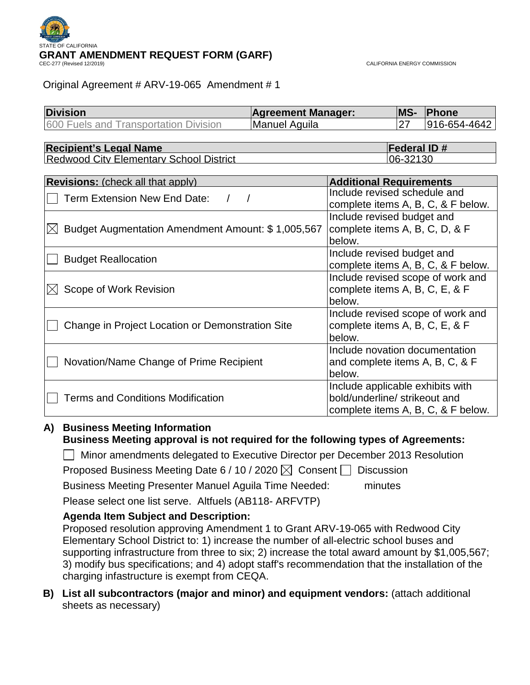

CALIFORNIA ENERGY COMMISSION

## Original Agreement # ARV-19-065 Amendment # 1

| <b>Division</b><br><b>Agreement Manager:</b>                     |                      |                                   | MS-                | Phone                              |
|------------------------------------------------------------------|----------------------|-----------------------------------|--------------------|------------------------------------|
| 600 Fuels and Transportation Division                            | <b>Manuel Aguila</b> |                                   | 27                 | 916-654-4642                       |
|                                                                  |                      |                                   |                    |                                    |
| <b>Recipient's Legal Name</b>                                    |                      |                                   | <b>Federal ID#</b> |                                    |
| <b>Redwood City Elementary School District</b>                   |                      |                                   | 06-32130           |                                    |
|                                                                  |                      |                                   |                    |                                    |
| <b>Revisions:</b> (check all that apply)                         |                      | <b>Additional Requirements</b>    |                    |                                    |
| Term Extension New End Date:                                     |                      | Include revised schedule and      |                    |                                    |
|                                                                  |                      |                                   |                    | complete items A, B, C, & F below. |
|                                                                  |                      | Include revised budget and        |                    |                                    |
| Budget Augmentation Amendment Amount: \$1,005,567<br>$\boxtimes$ |                      | complete items A, B, C, D, & F    |                    |                                    |
|                                                                  |                      | below.                            |                    |                                    |
|                                                                  |                      | Include revised budget and        |                    |                                    |
| <b>Budget Reallocation</b>                                       |                      |                                   |                    | complete items A, B, C, & F below. |
|                                                                  |                      | Include revised scope of work and |                    |                                    |
| Scope of Work Revision<br>$\boxtimes$                            |                      | complete items A, B, C, E, & F    |                    |                                    |
|                                                                  |                      | below.                            |                    |                                    |
|                                                                  |                      | Include revised scope of work and |                    |                                    |
| Change in Project Location or Demonstration Site                 |                      | complete items A, B, C, E, & F    |                    |                                    |
|                                                                  |                      | below.                            |                    |                                    |
|                                                                  |                      | Include novation documentation    |                    |                                    |
| Novation/Name Change of Prime Recipient                          |                      | and complete items A, B, C, & F   |                    |                                    |
|                                                                  |                      | below.                            |                    |                                    |
|                                                                  |                      | Include applicable exhibits with  |                    |                                    |
| <b>Terms and Conditions Modification</b>                         |                      | bold/underline/ strikeout and     |                    |                                    |
|                                                                  |                      |                                   |                    | complete items A, B, C, & F below. |

## **A) Business Meeting Information Business Meeting approval is not required for the following types of Agreements:**

□ Minor amendments delegated to Executive Director per December 2013 Resolution

Proposed Business Meeting Date 6 / 10 / 2020  $\times$  Consent Discussion

Business Meeting Presenter Manuel Aguila Time Needed: minutes

Please select one list serve. Altfuels (AB118- ARFVTP)

## **Agenda Item Subject and Description:**

Proposed resolution approving Amendment 1 to Grant ARV-19-065 with Redwood City Elementary School District to: 1) increase the number of all-electric school buses and supporting infrastructure from three to six; 2) increase the total award amount by \$1,005,567; 3) modify bus specifications; and 4) adopt staff's recommendation that the installation of the charging infastructure is exempt from CEQA.

**B) List all subcontractors (major and minor) and equipment vendors:** (attach additional sheets as necessary)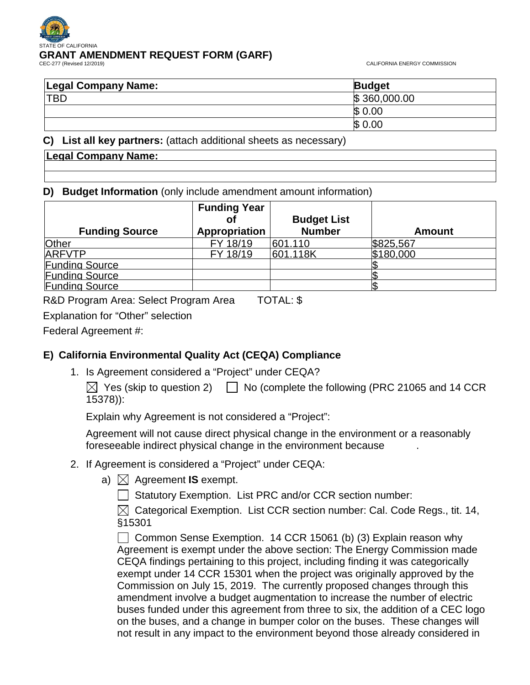# OF CALIFORNIA **GRANT AMENDMENT REQUEST FORM (GARF)**

CALIFORNIA ENERGY COMMISSION

| <b>Legal Company Name:</b> | <b>Budget</b> |
|----------------------------|---------------|
| <b>TBD</b>                 | \$360,000.00  |
|                            | \$0.00        |
|                            | \$0.00        |

**C) List all key partners:** (attach additional sheets as necessary)

## **D) Budget Information** (only include amendment amount information)

|                       | <b>Funding Year</b> |                    |               |
|-----------------------|---------------------|--------------------|---------------|
|                       | оf                  | <b>Budget List</b> |               |
| <b>Funding Source</b> | Appropriation       | <b>Number</b>      | <b>Amount</b> |
| Other                 | FY 18/19            | 601.110            | \$825,567     |
| <b>ARFVTP</b>         | FY 18/19            | 601.118K           | \$180,000     |
| <b>Funding Source</b> |                     |                    |               |
| <b>Funding Source</b> |                     |                    |               |
| <b>Funding Source</b> |                     |                    |               |

R&D Program Area: Select Program Area TOTAL: \$

Explanation for "Other" selection

Federal Agreement #:

## **E) California Environmental Quality Act (CEQA) Compliance**

1. Is Agreement considered a "Project" under CEQA?

 $\boxtimes$  Yes (skip to question 2)  $\Box$  No (complete the following (PRC 21065 and 14 CCR 15378)):

Explain why Agreement is not considered a "Project":

Agreement will not cause direct physical change in the environment or a reasonably foreseeable indirect physical change in the environment because .

- 2. If Agreement is considered a "Project" under CEQA:
	- a)  $\boxtimes$  Agreement **IS** exempt.
		- $\Box$  Statutory Exemption. List PRC and/or CCR section number:

 $\boxtimes$  Categorical Exemption. List CCR section number: Cal. Code Regs., tit. 14, §15301

Common Sense Exemption. 14 CCR 15061 (b) (3) Explain reason why Agreement is exempt under the above section: The Energy Commission made CEQA findings pertaining to this project, including finding it was categorically exempt under 14 CCR 15301 when the project was originally approved by the Commission on July 15, 2019. The currently proposed changes through this amendment involve a budget augmentation to increase the number of electric buses funded under this agreement from three to six, the addition of a CEC logo on the buses, and a change in bumper color on the buses. These changes will not result in any impact to the environment beyond those already considered in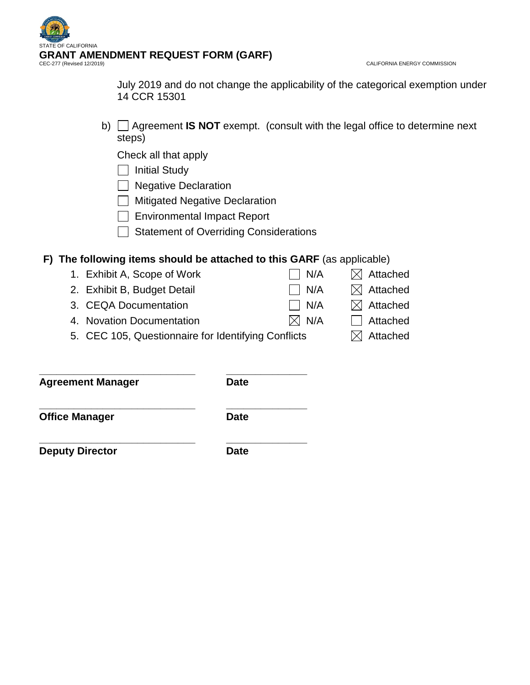

CALIFORNIA ENERGY COMMISSION

July 2019 and do not change the applicability of the categorical exemption under 14 CCR 15301

b) Agreement **IS NOT** exempt. (consult with the legal office to determine next steps)

Check all that apply

 $\Box$  Initial Study

 $\Box$  Negative Declaration

**Mitigated Negative Declaration** 

Environmental Impact Report

Statement of Overriding Considerations

## **F) The following items should be attached to this GARF** (as applicable)

1. Exhibit A, Scope of Work  $\Box$  N/A  $\Box$  Attached 2. Exhibit B, Budget Detail  $\Box$  N/A  $\Box$  Attached 3. CEQA Documentation  $\Box$  N/A  $\Box$  Attached 4. Novation Documentation  $\boxtimes$  N/A  $\Box$  Attached 5. CEC 105, Questionnaire for Identifying Conflicts  $\boxtimes$  Attached

**\_\_\_\_\_\_\_\_\_\_\_\_\_\_\_\_\_\_\_\_\_\_\_\_\_\_\_ \_\_\_\_\_\_\_\_\_\_\_\_\_\_ Agreement Manager Date**

**\_\_\_\_\_\_\_\_\_\_\_\_\_\_\_\_\_\_\_\_\_\_\_\_\_\_\_ \_\_\_\_\_\_\_\_\_\_\_\_\_\_ Office Manager Date** 

**\_\_\_\_\_\_\_\_\_\_\_\_\_\_\_\_\_\_\_\_\_\_\_\_\_\_\_ \_\_\_\_\_\_\_\_\_\_\_\_\_\_ Deputy Director Date**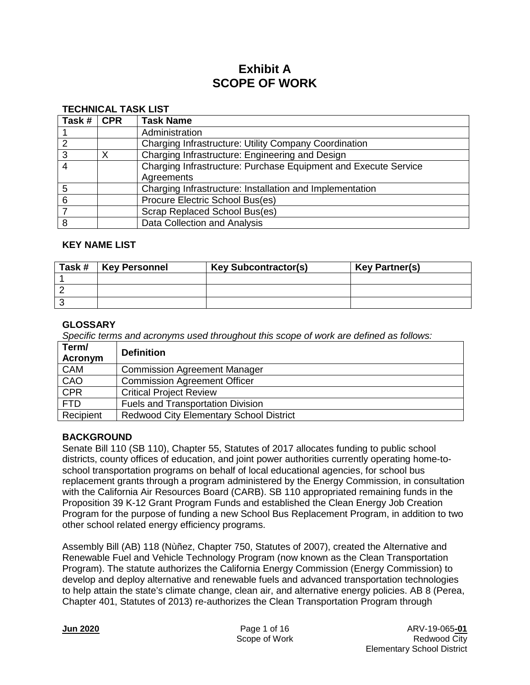# **Exhibit A SCOPE OF WORK**

#### **TECHNICAL TASK LIST**

| Task # | <b>CPR</b> | <b>Task Name</b>                                                |
|--------|------------|-----------------------------------------------------------------|
|        |            | Administration                                                  |
|        |            | Charging Infrastructure: Utility Company Coordination           |
| 3      | X          | Charging Infrastructure: Engineering and Design                 |
| 4      |            | Charging Infrastructure: Purchase Equipment and Execute Service |
|        |            | Agreements                                                      |
| 5      |            | Charging Infrastructure: Installation and Implementation        |
| 6      |            | Procure Electric School Bus(es)                                 |
|        |            | Scrap Replaced School Bus(es)                                   |
| 8      |            | Data Collection and Analysis                                    |

#### **KEY NAME LIST**

| Task # | <b>Key Personnel</b> | <b>Key Subcontractor(s)</b> | <b>Key Partner(s)</b> |
|--------|----------------------|-----------------------------|-----------------------|
|        |                      |                             |                       |
|        |                      |                             |                       |
|        |                      |                             |                       |

## **GLOSSARY**

*Specific terms and acronyms used throughout this scope of work are defined as follows:*

| Term/<br>Acronym | <b>Definition</b>                              |
|------------------|------------------------------------------------|
| <b>CAM</b>       | <b>Commission Agreement Manager</b>            |
| CAO              | <b>Commission Agreement Officer</b>            |
| <b>CPR</b>       | <b>Critical Project Review</b>                 |
| <b>FTD</b>       | <b>Fuels and Transportation Division</b>       |
| Recipient        | <b>Redwood City Elementary School District</b> |

## **BACKGROUND**

Senate Bill 110 (SB 110), Chapter 55, Statutes of 2017 allocates funding to public school districts, county offices of education, and joint power authorities currently operating home-toschool transportation programs on behalf of local educational agencies, for school bus replacement grants through a program administered by the Energy Commission, in consultation with the California Air Resources Board (CARB). SB 110 appropriated remaining funds in the Proposition 39 K-12 Grant Program Funds and established the Clean Energy Job Creation Program for the purpose of funding a new School Bus Replacement Program, in addition to two other school related energy efficiency programs.

Assembly Bill (AB) 118 (Nùñez, Chapter 750, Statutes of 2007), created the Alternative and Renewable Fuel and Vehicle Technology Program (now known as the Clean Transportation Program). The statute authorizes the California Energy Commission (Energy Commission) to develop and deploy alternative and renewable fuels and advanced transportation technologies to help attain the state's climate change, clean air, and alternative energy policies. AB 8 (Perea, Chapter 401, Statutes of 2013) re-authorizes the Clean Transportation Program through

| <b>Jun 2020</b> |  |
|-----------------|--|
|-----------------|--|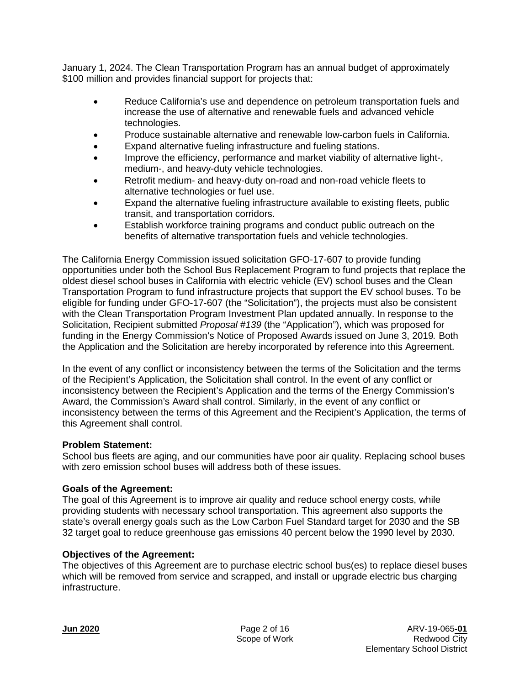January 1, 2024. The Clean Transportation Program has an annual budget of approximately \$100 million and provides financial support for projects that:

- Reduce California's use and dependence on petroleum transportation fuels and increase the use of alternative and renewable fuels and advanced vehicle technologies.
- Produce sustainable alternative and renewable low-carbon fuels in California.
- Expand alternative fueling infrastructure and fueling stations.
- Improve the efficiency, performance and market viability of alternative light-, medium-, and heavy-duty vehicle technologies.
- Retrofit medium- and heavy-duty on-road and non-road vehicle fleets to alternative technologies or fuel use.
- Expand the alternative fueling infrastructure available to existing fleets, public transit, and transportation corridors.
- Establish workforce training programs and conduct public outreach on the benefits of alternative transportation fuels and vehicle technologies.

The California Energy Commission issued solicitation GFO-17-607 to provide funding opportunities under both the School Bus Replacement Program to fund projects that replace the oldest diesel school buses in California with electric vehicle (EV) school buses and the Clean Transportation Program to fund infrastructure projects that support the EV school buses. To be eligible for funding under GFO-17-607 (the "Solicitation"), the projects must also be consistent with the Clean Transportation Program Investment Plan updated annually. In response to the Solicitation, Recipient submitted *Proposal #139* (the "Application"), which was proposed for funding in the Energy Commission's Notice of Proposed Awards issued on June 3, 2019*.* Both the Application and the Solicitation are hereby incorporated by reference into this Agreement.

In the event of any conflict or inconsistency between the terms of the Solicitation and the terms of the Recipient's Application, the Solicitation shall control. In the event of any conflict or inconsistency between the Recipient's Application and the terms of the Energy Commission's Award, the Commission's Award shall control. Similarly, in the event of any conflict or inconsistency between the terms of this Agreement and the Recipient's Application, the terms of this Agreement shall control.

## **Problem Statement:**

School bus fleets are aging, and our communities have poor air quality. Replacing school buses with zero emission school buses will address both of these issues.

## **Goals of the Agreement:**

The goal of this Agreement is to improve air quality and reduce school energy costs, while providing students with necessary school transportation. This agreement also supports the state's overall energy goals such as the Low Carbon Fuel Standard target for 2030 and the SB 32 target goal to reduce greenhouse gas emissions 40 percent below the 1990 level by 2030.

## **Objectives of the Agreement:**

The objectives of this Agreement are to purchase electric school bus(es) to replace diesel buses which will be removed from service and scrapped, and install or upgrade electric bus charging infrastructure.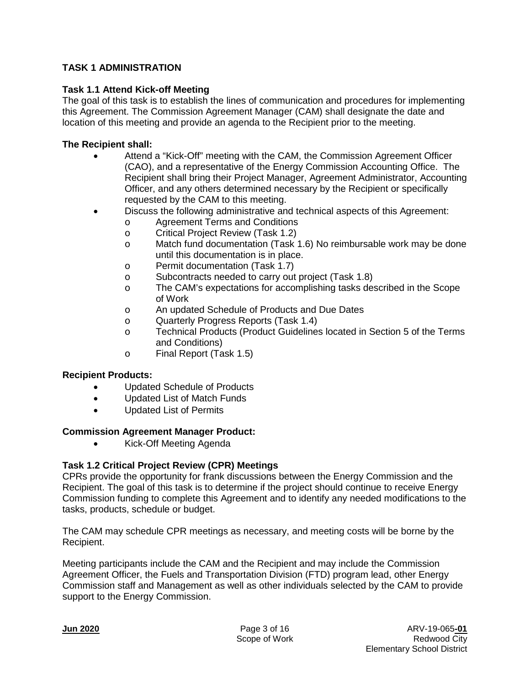## **TASK 1 ADMINISTRATION**

## **Task 1.1 Attend Kick-off Meeting**

The goal of this task is to establish the lines of communication and procedures for implementing this Agreement. The Commission Agreement Manager (CAM) shall designate the date and location of this meeting and provide an agenda to the Recipient prior to the meeting.

## **The Recipient shall:**

- Attend a "Kick-Off" meeting with the CAM, the Commission Agreement Officer (CAO), and a representative of the Energy Commission Accounting Office. The Recipient shall bring their Project Manager, Agreement Administrator, Accounting Officer, and any others determined necessary by the Recipient or specifically requested by the CAM to this meeting.
- Discuss the following administrative and technical aspects of this Agreement:
	- o Agreement Terms and Conditions<br>
	Critical Proiect Review (Task 1.2)
		- Critical Project Review (Task 1.2)
		- o Match fund documentation (Task 1.6) No reimbursable work may be done until this documentation is in place.
		- o Permit documentation (Task 1.7)<br>o Subcontracts needed to carry out
		- Subcontracts needed to carry out project (Task 1.8)
		- o The CAM's expectations for accomplishing tasks described in the Scope of Work
		- o An updated Schedule of Products and Due Dates
	- o Quarterly Progress Reports (Task 1.4)<br>C. Technical Products (Product Guidelines
	- Technical Products (Product Guidelines located in Section 5 of the Terms and Conditions)
	- o Final Report (Task 1.5)

## **Recipient Products:**

- Updated Schedule of Products
- Updated List of Match Funds
- Updated List of Permits

## **Commission Agreement Manager Product:**

• Kick-Off Meeting Agenda

## **Task 1.2 Critical Project Review (CPR) Meetings**

CPRs provide the opportunity for frank discussions between the Energy Commission and the Recipient. The goal of this task is to determine if the project should continue to receive Energy Commission funding to complete this Agreement and to identify any needed modifications to the tasks, products, schedule or budget.

The CAM may schedule CPR meetings as necessary, and meeting costs will be borne by the Recipient.

Meeting participants include the CAM and the Recipient and may include the Commission Agreement Officer, the Fuels and Transportation Division (FTD) program lead, other Energy Commission staff and Management as well as other individuals selected by the CAM to provide support to the Energy Commission.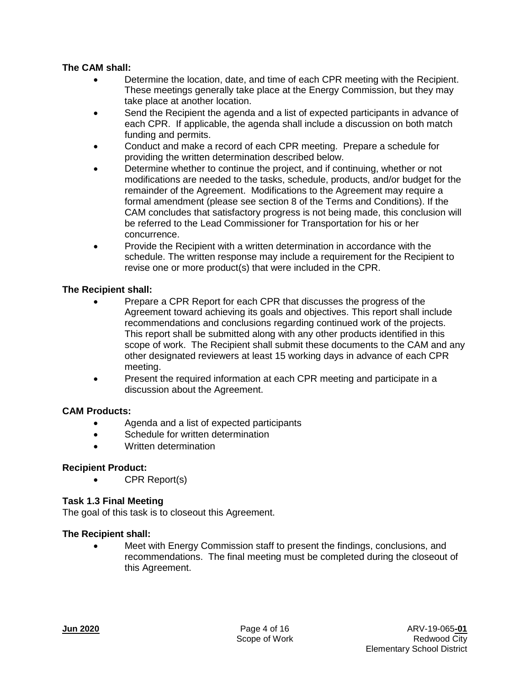## **The CAM shall:**

- Determine the location, date, and time of each CPR meeting with the Recipient. These meetings generally take place at the Energy Commission, but they may take place at another location.
- Send the Recipient the agenda and a list of expected participants in advance of each CPR. If applicable, the agenda shall include a discussion on both match funding and permits.
- Conduct and make a record of each CPR meeting. Prepare a schedule for providing the written determination described below.
- Determine whether to continue the project, and if continuing, whether or not modifications are needed to the tasks, schedule, products, and/or budget for the remainder of the Agreement. Modifications to the Agreement may require a formal amendment (please see section 8 of the Terms and Conditions). If the CAM concludes that satisfactory progress is not being made, this conclusion will be referred to the Lead Commissioner for Transportation for his or her concurrence.
- Provide the Recipient with a written determination in accordance with the schedule. The written response may include a requirement for the Recipient to revise one or more product(s) that were included in the CPR.

## **The Recipient shall:**

- Prepare a CPR Report for each CPR that discusses the progress of the Agreement toward achieving its goals and objectives. This report shall include recommendations and conclusions regarding continued work of the projects. This report shall be submitted along with any other products identified in this scope of work. The Recipient shall submit these documents to the CAM and any other designated reviewers at least 15 working days in advance of each CPR meeting.
- Present the required information at each CPR meeting and participate in a discussion about the Agreement.

## **CAM Products:**

- Agenda and a list of expected participants
- Schedule for written determination
- Written determination

## **Recipient Product:**

• CPR Report(s)

## **Task 1.3 Final Meeting**

The goal of this task is to closeout this Agreement.

## **The Recipient shall:**

• Meet with Energy Commission staff to present the findings, conclusions, and recommendations. The final meeting must be completed during the closeout of this Agreement.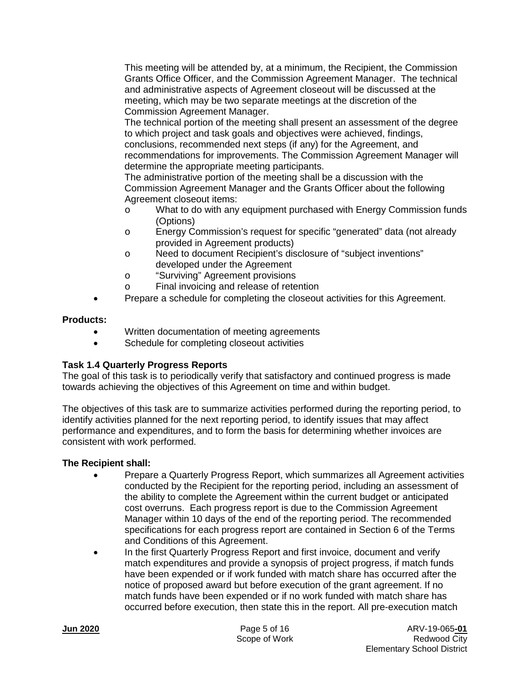This meeting will be attended by, at a minimum, the Recipient, the Commission Grants Office Officer, and the Commission Agreement Manager. The technical and administrative aspects of Agreement closeout will be discussed at the meeting, which may be two separate meetings at the discretion of the Commission Agreement Manager.

The technical portion of the meeting shall present an assessment of the degree to which project and task goals and objectives were achieved, findings, conclusions, recommended next steps (if any) for the Agreement, and recommendations for improvements. The Commission Agreement Manager will determine the appropriate meeting participants.

The administrative portion of the meeting shall be a discussion with the Commission Agreement Manager and the Grants Officer about the following Agreement closeout items:

- o What to do with any equipment purchased with Energy Commission funds (Options)
- o Energy Commission's request for specific "generated" data (not already provided in Agreement products)
- o Need to document Recipient's disclosure of "subject inventions" developed under the Agreement
- o "Surviving" Agreement provisions
- o Final invoicing and release of retention
- Prepare a schedule for completing the closeout activities for this Agreement.

## **Products:**

- Written documentation of meeting agreements
- Schedule for completing closeout activities

## **Task 1.4 Quarterly Progress Reports**

The goal of this task is to periodically verify that satisfactory and continued progress is made towards achieving the objectives of this Agreement on time and within budget.

The objectives of this task are to summarize activities performed during the reporting period, to identify activities planned for the next reporting period, to identify issues that may affect performance and expenditures, and to form the basis for determining whether invoices are consistent with work performed.

- Prepare a Quarterly Progress Report, which summarizes all Agreement activities conducted by the Recipient for the reporting period, including an assessment of the ability to complete the Agreement within the current budget or anticipated cost overruns. Each progress report is due to the Commission Agreement Manager within 10 days of the end of the reporting period. The recommended specifications for each progress report are contained in Section 6 of the Terms and Conditions of this Agreement.
- In the first Quarterly Progress Report and first invoice, document and verify match expenditures and provide a synopsis of project progress, if match funds have been expended or if work funded with match share has occurred after the notice of proposed award but before execution of the grant agreement. If no match funds have been expended or if no work funded with match share has occurred before execution, then state this in the report. All pre-execution match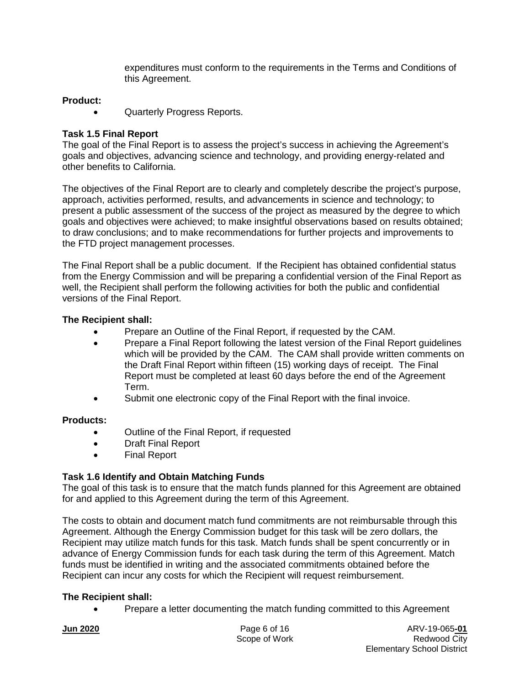expenditures must conform to the requirements in the Terms and Conditions of this Agreement.

## **Product:**

• Quarterly Progress Reports.

## **Task 1.5 Final Report**

The goal of the Final Report is to assess the project's success in achieving the Agreement's goals and objectives, advancing science and technology, and providing energy-related and other benefits to California.

The objectives of the Final Report are to clearly and completely describe the project's purpose, approach, activities performed, results, and advancements in science and technology; to present a public assessment of the success of the project as measured by the degree to which goals and objectives were achieved; to make insightful observations based on results obtained; to draw conclusions; and to make recommendations for further projects and improvements to the FTD project management processes.

The Final Report shall be a public document. If the Recipient has obtained confidential status from the Energy Commission and will be preparing a confidential version of the Final Report as well, the Recipient shall perform the following activities for both the public and confidential versions of the Final Report.

## **The Recipient shall:**

- Prepare an Outline of the Final Report, if requested by the CAM.
- Prepare a Final Report following the latest version of the Final Report quidelines which will be provided by the CAM. The CAM shall provide written comments on the Draft Final Report within fifteen (15) working days of receipt. The Final Report must be completed at least 60 days before the end of the Agreement Term.
- Submit one electronic copy of the Final Report with the final invoice.

## **Products:**

- Outline of the Final Report, if requested
- Draft Final Report
- Final Report

## **Task 1.6 Identify and Obtain Matching Funds**

The goal of this task is to ensure that the match funds planned for this Agreement are obtained for and applied to this Agreement during the term of this Agreement.

The costs to obtain and document match fund commitments are not reimbursable through this Agreement. Although the Energy Commission budget for this task will be zero dollars, the Recipient may utilize match funds for this task. Match funds shall be spent concurrently or in advance of Energy Commission funds for each task during the term of this Agreement. Match funds must be identified in writing and the associated commitments obtained before the Recipient can incur any costs for which the Recipient will request reimbursement.

## **The Recipient shall:**

• Prepare a letter documenting the match funding committed to this Agreement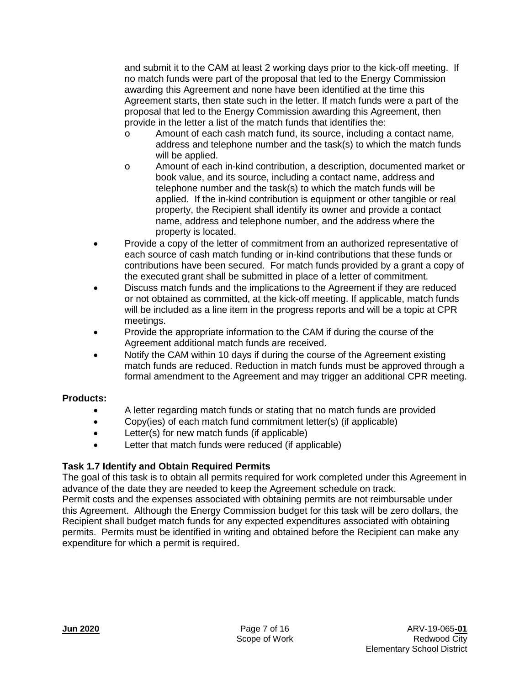and submit it to the CAM at least 2 working days prior to the kick-off meeting. If no match funds were part of the proposal that led to the Energy Commission awarding this Agreement and none have been identified at the time this Agreement starts, then state such in the letter. If match funds were a part of the proposal that led to the Energy Commission awarding this Agreement, then provide in the letter a list of the match funds that identifies the:

- o Amount of each cash match fund, its source, including a contact name, address and telephone number and the task(s) to which the match funds will be applied.
- o Amount of each in-kind contribution, a description, documented market or book value, and its source, including a contact name, address and telephone number and the task(s) to which the match funds will be applied. If the in-kind contribution is equipment or other tangible or real property, the Recipient shall identify its owner and provide a contact name, address and telephone number, and the address where the property is located.
- Provide a copy of the letter of commitment from an authorized representative of each source of cash match funding or in-kind contributions that these funds or contributions have been secured. For match funds provided by a grant a copy of the executed grant shall be submitted in place of a letter of commitment.
- Discuss match funds and the implications to the Agreement if they are reduced or not obtained as committed, at the kick-off meeting. If applicable, match funds will be included as a line item in the progress reports and will be a topic at CPR meetings.
- Provide the appropriate information to the CAM if during the course of the Agreement additional match funds are received.
- Notify the CAM within 10 days if during the course of the Agreement existing match funds are reduced. Reduction in match funds must be approved through a formal amendment to the Agreement and may trigger an additional CPR meeting.

## **Products:**

- A letter regarding match funds or stating that no match funds are provided
- Copy(ies) of each match fund commitment letter(s) (if applicable)
- Letter(s) for new match funds (if applicable)
- Letter that match funds were reduced (if applicable)

## **Task 1.7 Identify and Obtain Required Permits**

The goal of this task is to obtain all permits required for work completed under this Agreement in advance of the date they are needed to keep the Agreement schedule on track.

Permit costs and the expenses associated with obtaining permits are not reimbursable under this Agreement. Although the Energy Commission budget for this task will be zero dollars, the Recipient shall budget match funds for any expected expenditures associated with obtaining permits. Permits must be identified in writing and obtained before the Recipient can make any expenditure for which a permit is required.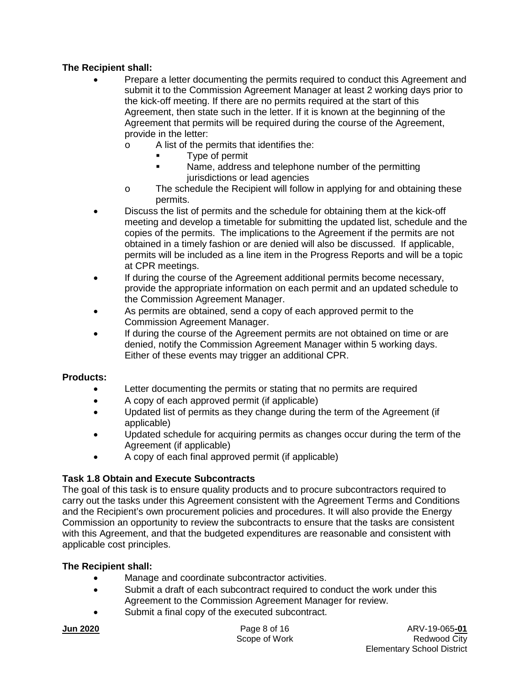## **The Recipient shall:**

- Prepare a letter documenting the permits required to conduct this Agreement and submit it to the Commission Agreement Manager at least 2 working days prior to the kick-off meeting. If there are no permits required at the start of this Agreement, then state such in the letter. If it is known at the beginning of the Agreement that permits will be required during the course of the Agreement, provide in the letter:
	- o A list of the permits that identifies the:
		- Type of permit
		- Name, address and telephone number of the permitting jurisdictions or lead agencies
	- o The schedule the Recipient will follow in applying for and obtaining these permits.
- Discuss the list of permits and the schedule for obtaining them at the kick-off meeting and develop a timetable for submitting the updated list, schedule and the copies of the permits. The implications to the Agreement if the permits are not obtained in a timely fashion or are denied will also be discussed. If applicable, permits will be included as a line item in the Progress Reports and will be a topic at CPR meetings.
- If during the course of the Agreement additional permits become necessary, provide the appropriate information on each permit and an updated schedule to the Commission Agreement Manager.
- As permits are obtained, send a copy of each approved permit to the Commission Agreement Manager.
- If during the course of the Agreement permits are not obtained on time or are denied, notify the Commission Agreement Manager within 5 working days. Either of these events may trigger an additional CPR.

## **Products:**

- Letter documenting the permits or stating that no permits are required
- A copy of each approved permit (if applicable)
- Updated list of permits as they change during the term of the Agreement (if applicable)
- Updated schedule for acquiring permits as changes occur during the term of the Agreement (if applicable)
- A copy of each final approved permit (if applicable)

## **Task 1.8 Obtain and Execute Subcontracts**

The goal of this task is to ensure quality products and to procure subcontractors required to carry out the tasks under this Agreement consistent with the Agreement Terms and Conditions and the Recipient's own procurement policies and procedures. It will also provide the Energy Commission an opportunity to review the subcontracts to ensure that the tasks are consistent with this Agreement, and that the budgeted expenditures are reasonable and consistent with applicable cost principles.

- Manage and coordinate subcontractor activities.
- Submit a draft of each subcontract required to conduct the work under this Agreement to the Commission Agreement Manager for review.
- Submit a final copy of the executed subcontract.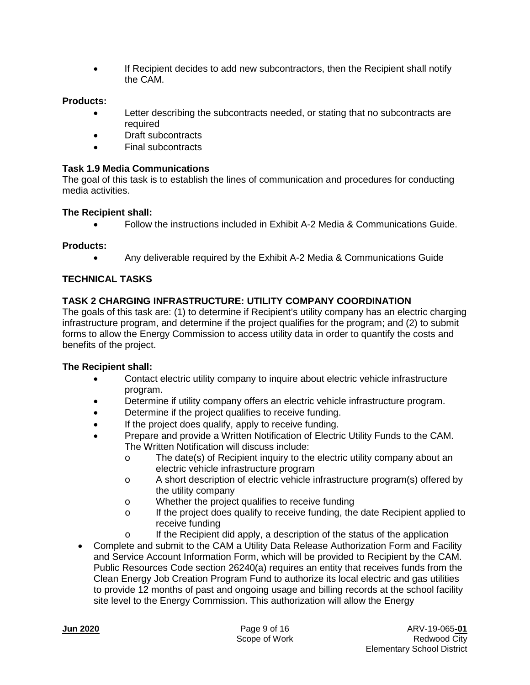• If Recipient decides to add new subcontractors, then the Recipient shall notify the CAM.

## **Products:**

- Letter describing the subcontracts needed, or stating that no subcontracts are required
- Draft subcontracts
- Final subcontracts

## **Task 1.9 Media Communications**

The goal of this task is to establish the lines of communication and procedures for conducting media activities.

## **The Recipient shall:**

• Follow the instructions included in Exhibit A-2 Media & Communications Guide.

## **Products:**

• Any deliverable required by the Exhibit A-2 Media & Communications Guide

## **TECHNICAL TASKS**

## **TASK 2 CHARGING INFRASTRUCTURE: UTILITY COMPANY COORDINATION**

The goals of this task are: (1) to determine if Recipient's utility company has an electric charging infrastructure program, and determine if the project qualifies for the program; and (2) to submit forms to allow the Energy Commission to access utility data in order to quantify the costs and benefits of the project.

- Contact electric utility company to inquire about electric vehicle infrastructure program.
- Determine if utility company offers an electric vehicle infrastructure program.
- Determine if the project qualifies to receive funding.
- If the project does qualify, apply to receive funding.
- Prepare and provide a Written Notification of Electric Utility Funds to the CAM. The Written Notification will discuss include:
	- o The date(s) of Recipient inquiry to the electric utility company about an electric vehicle infrastructure program
	- o A short description of electric vehicle infrastructure program(s) offered by the utility company
	- o Whether the project qualifies to receive funding
	- o If the project does qualify to receive funding, the date Recipient applied to receive funding
	- $\circ$  If the Recipient did apply, a description of the status of the application
- Complete and submit to the CAM a Utility Data Release Authorization Form and Facility and Service Account Information Form, which will be provided to Recipient by the CAM. Public Resources Code section 26240(a) requires an entity that receives funds from the Clean Energy Job Creation Program Fund to authorize its local electric and gas utilities to provide 12 months of past and ongoing usage and billing records at the school facility site level to the Energy Commission. This authorization will allow the Energy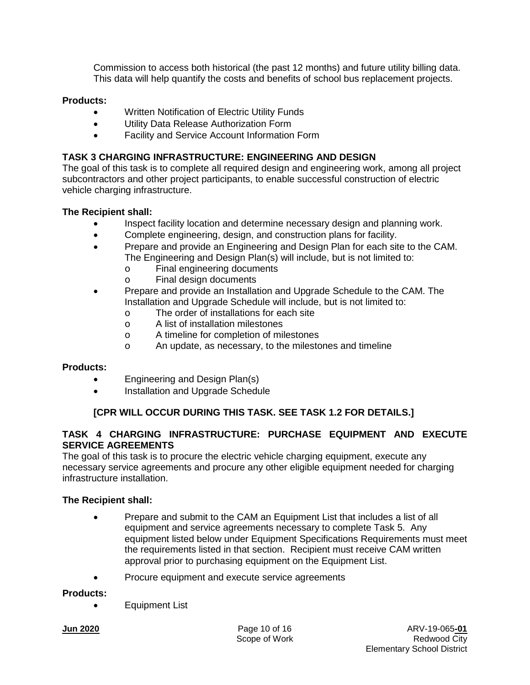Commission to access both historical (the past 12 months) and future utility billing data. This data will help quantify the costs and benefits of school bus replacement projects.

## **Products:**

- Written Notification of Electric Utility Funds
- Utility Data Release Authorization Form
- Facility and Service Account Information Form

## **TASK 3 CHARGING INFRASTRUCTURE: ENGINEERING AND DESIGN**

The goal of this task is to complete all required design and engineering work, among all project subcontractors and other project participants, to enable successful construction of electric vehicle charging infrastructure.

## **The Recipient shall:**

- Inspect facility location and determine necessary design and planning work.
- Complete engineering, design, and construction plans for facility.
- Prepare and provide an Engineering and Design Plan for each site to the CAM. The Engineering and Design Plan(s) will include, but is not limited to:
	- o Final engineering documents
	- o Final design documents
- Prepare and provide an Installation and Upgrade Schedule to the CAM. The Installation and Upgrade Schedule will include, but is not limited to:
	- o The order of installations for each site<br>  $\circ$  A list of installation milestones
	- A list of installation milestones
	- o A timeline for completion of milestones<br>
	o An update, as necessary, to the milesto
	- An update, as necessary, to the milestones and timeline

## **Products:**

- Engineering and Design Plan(s)
- Installation and Upgrade Schedule

## **[CPR WILL OCCUR DURING THIS TASK. SEE TASK 1.2 FOR DETAILS.]**

## **TASK 4 CHARGING INFRASTRUCTURE: PURCHASE EQUIPMENT AND EXECUTE SERVICE AGREEMENTS**

The goal of this task is to procure the electric vehicle charging equipment, execute any necessary service agreements and procure any other eligible equipment needed for charging infrastructure installation.

## **The Recipient shall:**

- Prepare and submit to the CAM an Equipment List that includes a list of all equipment and service agreements necessary to complete Task 5. Any equipment listed below under Equipment Specifications Requirements must meet the requirements listed in that section. Recipient must receive CAM written approval prior to purchasing equipment on the Equipment List.
- Procure equipment and execute service agreements

#### **Products:**

• Equipment List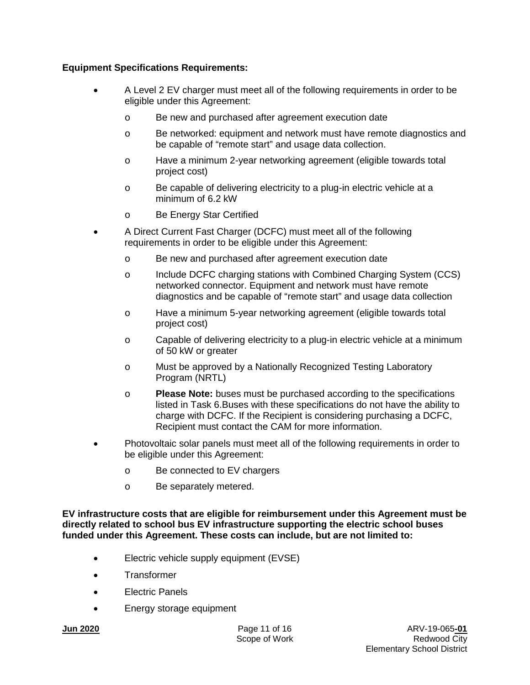## **Equipment Specifications Requirements:**

- A Level 2 EV charger must meet all of the following requirements in order to be eligible under this Agreement:
	- o Be new and purchased after agreement execution date
	- o Be networked: equipment and network must have remote diagnostics and be capable of "remote start" and usage data collection.
	- o Have a minimum 2-year networking agreement (eligible towards total project cost)
	- o Be capable of delivering electricity to a plug-in electric vehicle at a minimum of 6.2 kW
	- o Be Energy Star Certified
- A Direct Current Fast Charger (DCFC) must meet all of the following requirements in order to be eligible under this Agreement:
	- o Be new and purchased after agreement execution date
	- o Include DCFC charging stations with Combined Charging System (CCS) networked connector. Equipment and network must have remote diagnostics and be capable of "remote start" and usage data collection
	- o Have a minimum 5-year networking agreement (eligible towards total project cost)
	- o Capable of delivering electricity to a plug-in electric vehicle at a minimum of 50 kW or greater
	- o Must be approved by a Nationally Recognized Testing Laboratory Program (NRTL)
	- o **Please Note:** buses must be purchased according to the specifications listed in Task 6.Buses with these specifications do not have the ability to charge with DCFC. If the Recipient is considering purchasing a DCFC, Recipient must contact the CAM for more information.
- Photovoltaic solar panels must meet all of the following requirements in order to be eligible under this Agreement:
	- o Be connected to EV chargers
	- o Be separately metered.

**EV infrastructure costs that are eligible for reimbursement under this Agreement must be directly related to school bus EV infrastructure supporting the electric school buses funded under this Agreement. These costs can include, but are not limited to:**

- Electric vehicle supply equipment (EVSE)
- Transformer
- Electric Panels
- Energy storage equipment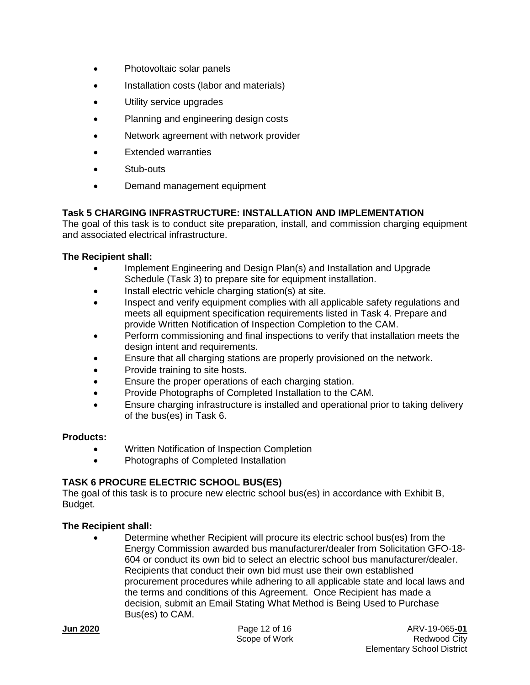- Photovoltaic solar panels
- Installation costs (labor and materials)
- Utility service upgrades
- Planning and engineering design costs
- Network agreement with network provider
- Extended warranties
- Stub-outs
- Demand management equipment

## **Task 5 CHARGING INFRASTRUCTURE: INSTALLATION AND IMPLEMENTATION**

The goal of this task is to conduct site preparation, install, and commission charging equipment and associated electrical infrastructure.

## **The Recipient shall:**

- Implement Engineering and Design Plan(s) and Installation and Upgrade Schedule (Task 3) to prepare site for equipment installation.
- Install electric vehicle charging station(s) at site.
- Inspect and verify equipment complies with all applicable safety regulations and meets all equipment specification requirements listed in Task 4. Prepare and provide Written Notification of Inspection Completion to the CAM.
- Perform commissioning and final inspections to verify that installation meets the design intent and requirements.
- Ensure that all charging stations are properly provisioned on the network.
- Provide training to site hosts.
- Ensure the proper operations of each charging station.
- Provide Photographs of Completed Installation to the CAM.
- Ensure charging infrastructure is installed and operational prior to taking delivery of the bus(es) in Task 6.

## **Products:**

- Written Notification of Inspection Completion
- Photographs of Completed Installation

## **TASK 6 PROCURE ELECTRIC SCHOOL BUS(ES)**

The goal of this task is to procure new electric school bus(es) in accordance with Exhibit B, Budget.

## **The Recipient shall:**

• Determine whether Recipient will procure its electric school bus(es) from the Energy Commission awarded bus manufacturer/dealer from Solicitation GFO-18- 604 or conduct its own bid to select an electric school bus manufacturer/dealer. Recipients that conduct their own bid must use their own established procurement procedures while adhering to all applicable state and local laws and the terms and conditions of this Agreement. Once Recipient has made a decision, submit an Email Stating What Method is Being Used to Purchase Bus(es) to CAM.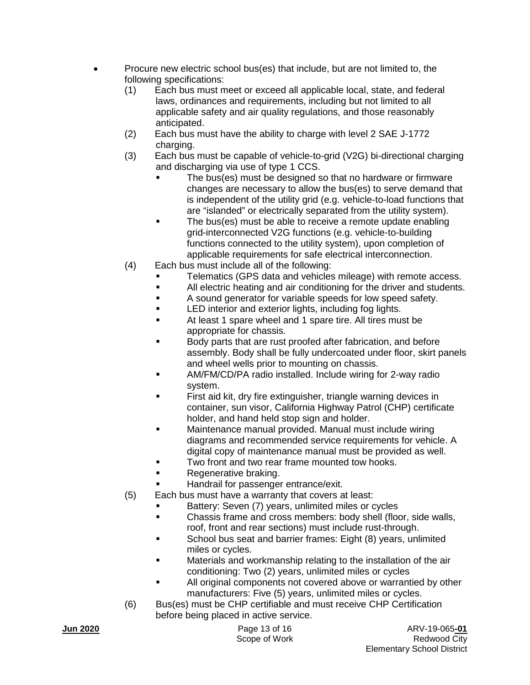- Procure new electric school bus(es) that include, but are not limited to, the following specifications:
	- (1) Each bus must meet or exceed all applicable local, state, and federal laws, ordinances and requirements, including but not limited to all applicable safety and air quality regulations, and those reasonably anticipated.
	- (2) Each bus must have the ability to charge with level 2 SAE J-1772 charging.
	- (3) Each bus must be capable of vehicle-to-grid (V2G) bi-directional charging and discharging via use of type 1 CCS.
		- The bus(es) must be designed so that no hardware or firmware changes are necessary to allow the bus(es) to serve demand that is independent of the utility grid (e.g. vehicle-to-load functions that are "islanded" or electrically separated from the utility system).
		- The bus(es) must be able to receive a remote update enabling grid-interconnected V2G functions (e.g. vehicle-to-building functions connected to the utility system), upon completion of applicable requirements for safe electrical interconnection.
	- (4) Each bus must include all of the following:
		- Telematics (GPS data and vehicles mileage) with remote access.
		- All electric heating and air conditioning for the driver and students.
		- A sound generator for variable speeds for low speed safety.
		- LED interior and exterior lights, including fog lights.
		- At least 1 spare wheel and 1 spare tire. All tires must be appropriate for chassis.
		- Body parts that are rust proofed after fabrication, and before assembly. Body shall be fully undercoated under floor, skirt panels and wheel wells prior to mounting on chassis.
		- AM/FM/CD/PA radio installed. Include wiring for 2-way radio system.
		- First aid kit, dry fire extinguisher, triangle warning devices in container, sun visor, California Highway Patrol (CHP) certificate holder, and hand held stop sign and holder.
		- Maintenance manual provided. Manual must include wiring diagrams and recommended service requirements for vehicle. A digital copy of maintenance manual must be provided as well.
		- Two front and two rear frame mounted tow hooks.
		- Regenerative braking.
			- Handrail for passenger entrance/exit.
	- (5) Each bus must have a warranty that covers at least:
		- Battery: Seven (7) years, unlimited miles or cycles
		- **EXECO EXECO FORMS IS CHASS** TO Chassis frame and cross members: body shell (floor, side walls, roof, front and rear sections) must include rust-through.
		- School bus seat and barrier frames: Eight (8) years, unlimited miles or cycles.
		- Materials and workmanship relating to the installation of the air conditioning: Two (2) years, unlimited miles or cycles
		- All original components not covered above or warrantied by other manufacturers: Five (5) years, unlimited miles or cycles.
	- (6) Bus(es) must be CHP certifiable and must receive CHP Certification before being placed in active service.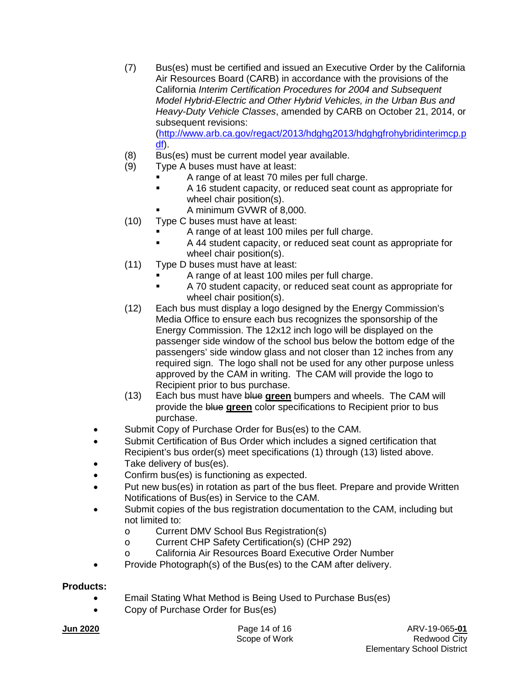- (7) Bus(es) must be certified and issued an Executive Order by the California Air Resources Board (CARB) in accordance with the provisions of the California *Interim Certification Procedures for 2004 and Subsequent Model Hybrid-Electric and Other Hybrid Vehicles, in the Urban Bus and Heavy-Duty Vehicle Classes*, amended by CARB on October 21, 2014, or subsequent revisions: [\(http://www.arb.ca.gov/regact/2013/hdghg2013/hdghgfrohybridinterimcp.p](http://www.arb.ca.gov/regact/2013/hdghg2013/hdghgfrohybridinterimcp.pdf) [df\)](http://www.arb.ca.gov/regact/2013/hdghg2013/hdghgfrohybridinterimcp.pdf).
- (8) Bus(es) must be current model year available.
- (9) Type A buses must have at least:
	- A range of at least 70 miles per full charge.
	- A 16 student capacity, or reduced seat count as appropriate for wheel chair position(s).
	- A minimum GVWR of 8,000.
- (10) Type C buses must have at least:
	- A range of at least 100 miles per full charge.
	- A 44 student capacity, or reduced seat count as appropriate for wheel chair position(s).
- (11) Type D buses must have at least:
	- A range of at least 100 miles per full charge.
	- A 70 student capacity, or reduced seat count as appropriate for wheel chair position(s).
- (12) Each bus must display a logo designed by the Energy Commission's Media Office to ensure each bus recognizes the sponsorship of the Energy Commission. The 12x12 inch logo will be displayed on the passenger side window of the school bus below the bottom edge of the passengers' side window glass and not closer than 12 inches from any required sign. The logo shall not be used for any other purpose unless approved by the CAM in writing. The CAM will provide the logo to Recipient prior to bus purchase.
- (13) Each bus must have blue **green** bumpers and wheels. The CAM will provide the blue **green** color specifications to Recipient prior to bus purchase.
- Submit Copy of Purchase Order for Bus(es) to the CAM.
- Submit Certification of Bus Order which includes a signed certification that Recipient's bus order(s) meet specifications (1) through (13) listed above.
- Take delivery of bus(es).
- Confirm bus(es) is functioning as expected.
- Put new bus(es) in rotation as part of the bus fleet. Prepare and provide Written Notifications of Bus(es) in Service to the CAM.
- Submit copies of the bus registration documentation to the CAM, including but not limited to:
	- o Current DMV School Bus Registration(s)<br>
	Current CHP Safety Certification(s) (CHP
	- Current CHP Safety Certification(s) (CHP 292)
	- o California Air Resources Board Executive Order Number
- Provide Photograph(s) of the Bus(es) to the CAM after delivery.

#### **Products:**

- Email Stating What Method is Being Used to Purchase Bus(es)
- Copy of Purchase Order for Bus(es)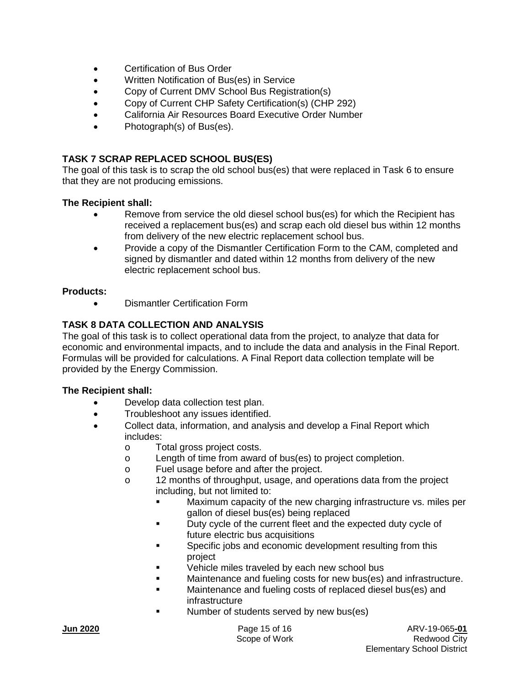- Certification of Bus Order
- Written Notification of Bus(es) in Service
- Copy of Current DMV School Bus Registration(s)
- Copy of Current CHP Safety Certification(s) (CHP 292)
- California Air Resources Board Executive Order Number
- Photograph(s) of Bus(es).

## **TASK 7 SCRAP REPLACED SCHOOL BUS(ES)**

The goal of this task is to scrap the old school bus(es) that were replaced in Task 6 to ensure that they are not producing emissions.

#### **The Recipient shall:**

- Remove from service the old diesel school bus(es) for which the Recipient has received a replacement bus(es) and scrap each old diesel bus within 12 months from delivery of the new electric replacement school bus.
- Provide a copy of the Dismantler Certification Form to the CAM, completed and signed by dismantler and dated within 12 months from delivery of the new electric replacement school bus.

#### **Products:**

• Dismantler Certification Form

## **TASK 8 DATA COLLECTION AND ANALYSIS**

The goal of this task is to collect operational data from the project, to analyze that data for economic and environmental impacts, and to include the data and analysis in the Final Report. Formulas will be provided for calculations. A Final Report data collection template will be provided by the Energy Commission.

- Develop data collection test plan.
- Troubleshoot any issues identified.
- Collect data, information, and analysis and develop a Final Report which includes:
	- o Total gross project costs.
	- o Length of time from award of bus(es) to project completion.
	- o Fuel usage before and after the project.<br>o 12 months of throughput, usage, and op
	- 12 months of throughput, usage, and operations data from the project including, but not limited to:
		- Maximum capacity of the new charging infrastructure vs. miles per gallon of diesel bus(es) being replaced
		- Duty cycle of the current fleet and the expected duty cycle of future electric bus acquisitions
		- Specific jobs and economic development resulting from this project
		- Vehicle miles traveled by each new school bus
		- **Maintenance and fueling costs for new bus(es) and infrastructure.**
		- Maintenance and fueling costs of replaced diesel bus(es) and infrastructure
		- Number of students served by new bus(es)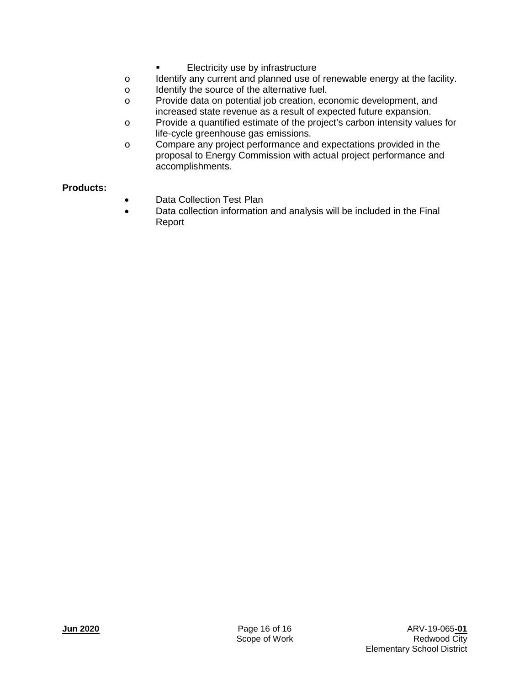- Electricity use by infrastructure
- o Identify any current and planned use of renewable energy at the facility.<br>  $\circ$  Identify the source of the alternative fuel.
- o Identify the source of the alternative fuel.<br>
o Provide data on potential iob creation. ec
- Provide data on potential job creation, economic development, and increased state revenue as a result of expected future expansion.
- o Provide a quantified estimate of the project's carbon intensity values for life-cycle greenhouse gas emissions.
- o Compare any project performance and expectations provided in the proposal to Energy Commission with actual project performance and accomplishments.

## **Products:**

- Data Collection Test Plan
- Data collection information and analysis will be included in the Final Report